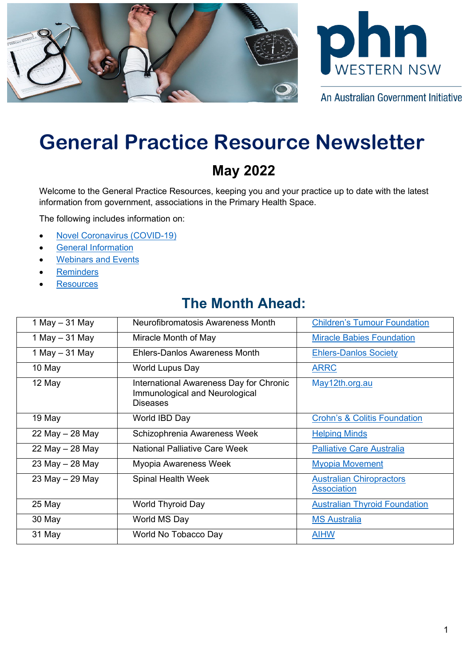



An Australian Government Initiative

# **General Practice Resource Newsletter**

# **May 2022**

Welcome to the General Practice Resources, keeping you and your practice up to date with the latest information from government, associations in the Primary Health Space.

The following includes information on:

- [Novel Coronavirus \(COVID-19\)](#page-0-0)
- [General Information](#page-2-0)
- [Webinars and Events](#page-3-0)
- **[Reminders](#page-6-0)**
- **[Resources](#page-6-1)**

# **The Month Ahead:**

<span id="page-0-0"></span>

| 1 May $-$ 31 May | Neurofibromatosis Awareness Month                                                                   | <b>Children's Tumour Foundation</b>                   |
|------------------|-----------------------------------------------------------------------------------------------------|-------------------------------------------------------|
| 1 May $-$ 31 May | Miracle Month of May                                                                                | <b>Miracle Babies Foundation</b>                      |
| 1 May $-$ 31 May | Ehlers-Danlos Awareness Month                                                                       | <b>Ehlers-Danlos Society</b>                          |
| 10 May           | World Lupus Day                                                                                     | <b>ARRC</b>                                           |
| 12 May           | <b>International Awareness Day for Chronic</b><br>Immunological and Neurological<br><b>Diseases</b> | May12th.org.au                                        |
| 19 May           | World IBD Day                                                                                       | <b>Crohn's &amp; Colitis Foundation</b>               |
| 22 May - 28 May  | Schizophrenia Awareness Week                                                                        | <b>Helping Minds</b>                                  |
| 22 May - 28 May  | <b>National Palliative Care Week</b>                                                                | <b>Palliative Care Australia</b>                      |
| 23 May - 28 May  | Myopia Awareness Week                                                                               | <b>Myopia Movement</b>                                |
| 23 May - 29 May  | Spinal Health Week                                                                                  | <b>Australian Chiropractors</b><br><b>Association</b> |
| 25 May           | World Thyroid Day                                                                                   | <b>Australian Thyroid Foundation</b>                  |
| 30 May           | World MS Day                                                                                        | <b>MS Australia</b>                                   |
| 31 May           | World No Tobacco Day                                                                                | <b>AIHW</b>                                           |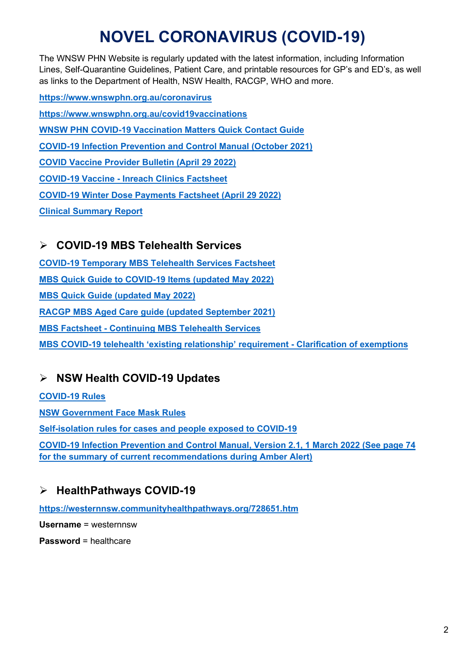# **NOVEL CORONAVIRUS (COVID-19)**

The WNSW PHN Website is regularly updated with the latest information, including Information Lines, Self-Quarantine Guidelines, Patient Care, and printable resources for GP's and ED's, as well as links to the Department of Health, NSW Health, RACGP, WHO and more.

**<https://www.wnswphn.org.au/coronavirus> <https://www.wnswphn.org.au/covid19vaccinations> [WNSW PHN COVID-19 Vaccination Matters Quick Contact Guide](https://www.wnswphn.org.au/uploads/documents/newsletters/GP%20Resources%20July%202021/WNSW%20PHN%20COVID-19%20Primary%20Care%20Vaccination%20Contacts.pdf) [COVID-19 Infection Prevention and Control Manual \(October 2021\)](https://www.cec.health.nsw.gov.au/keep-patients-safe/COVID-19/COVID-19-IPAC-manual) [COVID Vaccine Provider Bulletin \(April 29 2022\)](https://www.wnswphn.org.au/uploads/documents/Resources/Resources%20for%20Professionals/PROVIDER%20BULLETIN%20-%2029%20April%202022.pdf) [COVID-19 Vaccine - Inreach Clinics Factsheet](https://www.wnswphn.org.au/uploads/documents/Resources/Resources%20for%20Professionals/COVID-19_VACCINE%20Inreach%20Clinics%20Factsheet%20-%2029%20April%2022.pdf) [COVID-19 Winter Dose Payments Factsheet \(April 29 2022\)](https://www.wnswphn.org.au/uploads/documents/Resources/Resources%20for%20Professionals/COVID-19_VACCINE%20FACTSHEET%20-%20Winter%20Dose%20Payments%20-%2029%20April%2022.pdf) [Clinical Summary Report](https://www.wnswphn.org.au/uploads/documents/Resources/Resources%20for%20Professionals/Clinic%20Summary%20Report.docx)**

## **COVID-19 MBS Telehealth Services**

**[COVID-19 Temporary MBS Telehealth Services Factsheet](https://www.wnswphn.org.au/uploads/documents/newsletters/GP%20Resources%20October%202021/Factsheet-COVID-19-GPsOMP-30.07.21.pdf) MBS Quick Guide to COVID-19 Items [\(updated May 2022\)](https://www.wnswphn.org.au/uploads/documents/newsletters/GP%20Resources%20May%202022/MBS%20card_MAY22_COVID-19.pdf)  [MBS Quick Guide \(updated May 2022\)](https://www.wnswphn.org.au/uploads/documents/newsletters/GP%20Resources%20May%202022/MBS%20card_MAY2022.pdf)  [RACGP MBS Aged Care guide \(updated September 2021\)](https://www.wnswphn.org.au/uploads/documents/newsletters/GP%20Resources%20October%202021/RACGP%20MBS%20Aged%20Care%20guide%20-%202021-09-21.pdf) [MBS Factsheet - Continuing MBS Telehealth Services](https://www.wnswphn.org.au/uploads/documents/newsletters/GP%20Resources%20February%202022/Factsheet-COVID-19-GPs-OMP.151221.pdf) [MBS COVID-19 telehealth 'existing relationship' requirement - Clarification of exemptions](https://www.wnswphn.org.au/uploads/documents/newsletters/GP%20Resources%20February%202022/askmbs-advisory-existing-relationship-clarification-askmbs-advisory---existing-relationship-clarification.pdf)**

## **NSW Health COVID-19 Updates**

#### **[COVID-19 Rules](https://www.nsw.gov.au/covid-19/stay-safe/rules)**

**[NSW Government Face Mask Rules](https://www.nsw.gov.au/covid-19/stay-safe/rules/face-mask-rules)**

**[Self-isolation rules for cases and people exposed to COVID-19](https://www.nsw.gov.au/covid-19/stay-safe/testing/self-isolation-rules)**

**[COVID-19 Infection Prevention and Control Manual, Version 2.1, 1 March 2022 \(See page 74](https://www.cec.health.nsw.gov.au/keep-patients-safe/COVID-19/COVID-19-IPAC-manual)  [for the summary of current recommendations during Amber Alert\)](https://www.cec.health.nsw.gov.au/keep-patients-safe/COVID-19/COVID-19-IPAC-manual)**

## **HealthPathways COVID-19**

**<https://westernnsw.communityhealthpathways.org/728651.htm>**

**Username** = westernnsw

**Password** = healthcare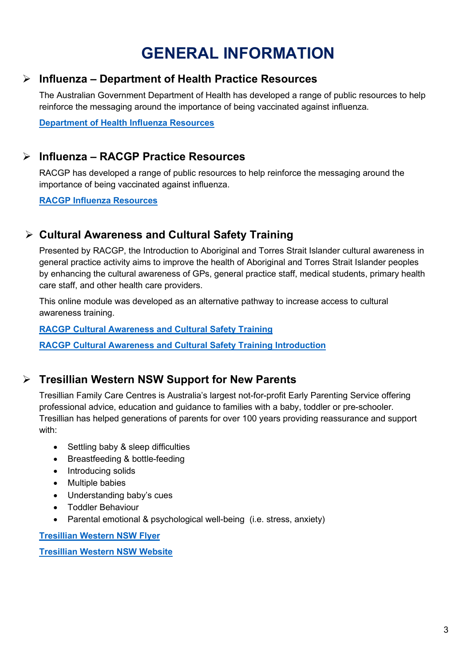# **GENERAL INFORMATION**

### <span id="page-2-0"></span>**Influenza – Department of Health Practice Resources**

The Australian Government Department of Health has developed a range of public resources to help reinforce the messaging around the importance of being vaccinated against influenza.

**[Department of Health Influenza Resources](https://www.health.gov.au/resources/collections/getting-vaccinated-against-influenza-resource-collection)**

### **Influenza – RACGP Practice Resources**

RACGP has developed a range of public resources to help reinforce the messaging around the importance of being vaccinated against influenza.

**RACGP [Influenza Resources](https://www.racgp.org.au/running-a-practice/practice-resources/practice-tools/2022-influenza-vaccines)**

## **Cultural Awareness and Cultural Safety Training**

Presented by RACGP, the Introduction to Aboriginal and Torres Strait Islander cultural awareness in general practice activity aims to improve the health of Aboriginal and Torres Strait Islander peoples by enhancing the cultural awareness of GPs, general practice staff, medical students, primary health care staff, and other health care providers.

This online module was developed as an alternative pathway to increase access to cultural awareness training.

#### **[RACGP Cultural Awareness and Cultural Safety](https://www.racgp.org.au/the-racgp/faculties/atsi/education-and-training/cpd-activities-for-gps-and-health-professionals/cultural-awareness-and-cultural-safety-training) Training**

**[RACGP Cultural Awareness and Cultural Safety](https://www.wnswphn.org.au/uploads/documents/newsletters/GP%20Resources%20May%202022/NFATSIH-Cultural-awareness-and-safety-training_1.pdf) Training Introduction**

### **Tresillian Western NSW Support for New Parents**

Tresillian Family Care Centres is Australia's largest not-for-profit Early Parenting Service offering professional advice, education and guidance to families with a baby, toddler or pre-schooler. Tresillian has helped generations of parents for over 100 years providing reassurance and support with:

- Settling baby & sleep difficulties
- Breastfeeding & bottle-feeding
- Introducing solids
- Multiple babies
- Understanding baby's cues
- Toddler Behaviour
- Parental emotional & psychological well-being (i.e. stress, anxiety)

**[Tresillian Western NSW Flyer](https://www.wnswphn.org.au/uploads/documents/newsletters/GP%20Resources%20May%202022/final3211_tresillianinwestern_april2022.pdf)**

**[Tresillian Western NSW Website](https://www.tresillian.org.au/about-us/who-we-are/overview/)**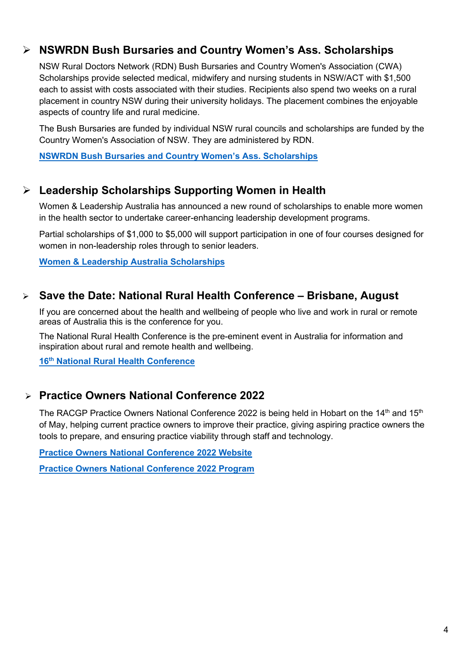### **NSWRDN Bush Bursaries and Country Women's Ass. Scholarships**

NSW Rural Doctors Network (RDN) Bush Bursaries and Country Women's Association (CWA) Scholarships provide selected medical, midwifery and nursing students in NSW/ACT with \$1,500 each to assist with costs associated with their studies. Recipients also spend two weeks on a rural placement in country NSW during their university holidays. The placement combines the enjoyable aspects of country life and rural medicine.

The Bush Bursaries are funded by individual NSW rural councils and scholarships are funded by the Country Women's Association of NSW. They are administered by RDN.

**[NSWRDN Bush Bursaries and Country Women's Ass. Scholarships](https://www.nswrdn.com.au/site/bbcwa)**

### **Leadership Scholarships Supporting Women in Health**

Women & Leadership Australia has announced a new round of scholarships to enable more women in the health sector to undertake career-enhancing leadership development programs.

Partial scholarships of \$1,000 to \$5,000 will support participation in one of four courses designed for women in non-leadership roles through to senior leaders.

**[Women & Leadership Australia Scholarships](https://www.wla.edu.au/ahha.html)**

### **Save the Date: National Rural Health Conference – Brisbane, August**

If you are concerned about the health and wellbeing of people who live and work in rural or remote areas of Australia this is the conference for you.

The National Rural Health Conference is the pre-eminent event in Australia for information and inspiration about rural and remote health and wellbeing.

**16th [National Rural Health Conference](https://www.ruralhealth.org.au/16nrhc/)**

### **Practice Owners National Conference 2022**

The RACGP Practice Owners National Conference 2022 is being held in Hobart on the 14<sup>th</sup> and 15<sup>th</sup> of May, helping current practice owners to improve their practice, giving aspiring practice owners the tools to prepare, and ensuring practice viability through staff and technology.

**[Practice Owners National Conference 2022 Website](https://www.racgp.org.au/ponc/home)**

<span id="page-3-0"></span>**[Practice Owners National Conference 2022 Program](https://racgp.eventsair.com/QuickEventWebsitePortal/2022practiceowners/program2022)**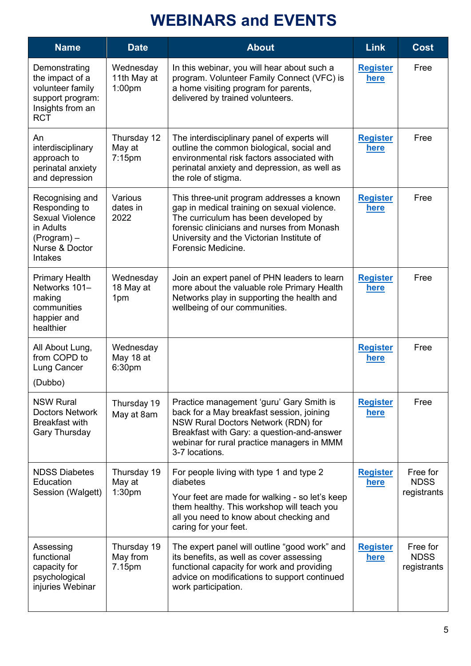# **WEBINARS and EVENTS**

| <b>Name</b>                                                                                                                | <b>Date</b>                                    | <b>About</b>                                                                                                                                                                                                                                      | <b>Link</b>                    | <b>Cost</b>                            |
|----------------------------------------------------------------------------------------------------------------------------|------------------------------------------------|---------------------------------------------------------------------------------------------------------------------------------------------------------------------------------------------------------------------------------------------------|--------------------------------|----------------------------------------|
| Demonstrating<br>the impact of a<br>volunteer family<br>support program:<br>Insights from an<br><b>RCT</b>                 | Wednesday<br>11th May at<br>1:00 <sub>pm</sub> | In this webinar, you will hear about such a<br>program. Volunteer Family Connect (VFC) is<br>a home visiting program for parents,<br>delivered by trained volunteers.                                                                             | <b>Register</b><br>here        | Free                                   |
| An<br>interdisciplinary<br>approach to<br>perinatal anxiety<br>and depression                                              | Thursday 12<br>May at<br>$7:15$ pm             | The interdisciplinary panel of experts will<br>outline the common biological, social and<br>environmental risk factors associated with<br>perinatal anxiety and depression, as well as<br>the role of stigma.                                     | <b>Register</b><br>here        | Free                                   |
| Recognising and<br>Responding to<br><b>Sexual Violence</b><br>in Adults<br>(Program) –<br>Nurse & Doctor<br><b>Intakes</b> | Various<br>dates in<br>2022                    | This three-unit program addresses a known<br>gap in medical training on sexual violence.<br>The curriculum has been developed by<br>forensic clinicians and nurses from Monash<br>University and the Victorian Institute of<br>Forensic Medicine. | <b>Register</b><br>here        | Free                                   |
| <b>Primary Health</b><br>Networks 101-<br>making<br>communities<br>happier and<br>healthier                                | Wednesday<br>18 May at<br>1pm                  | Join an expert panel of PHN leaders to learn<br>more about the valuable role Primary Health<br>Networks play in supporting the health and<br>wellbeing of our communities.                                                                        | <b>Register</b><br><u>here</u> | Free                                   |
| All About Lung,<br>from COPD to<br>Lung Cancer<br>(Dubbo)                                                                  | Wednesday<br>May 18 at<br>6:30pm               |                                                                                                                                                                                                                                                   | <b>Register</b><br><u>here</u> | Free                                   |
| <b>NSW Rural</b><br><b>Doctors Network</b><br>Breakfast with<br><b>Gary Thursday</b>                                       | Thursday 19<br>May at 8am                      | Practice management 'guru' Gary Smith is<br>back for a May breakfast session, joining<br>NSW Rural Doctors Network (RDN) for<br>Breakfast with Gary: a question-and-answer<br>webinar for rural practice managers in MMM<br>3-7 locations.        | <b>Register</b><br>here        | Free                                   |
| <b>NDSS Diabetes</b><br>Education<br>Session (Walgett)                                                                     | Thursday 19<br>May at<br>1:30 <sub>pm</sub>    | For people living with type 1 and type 2<br>diabetes<br>Your feet are made for walking - so let's keep<br>them healthy. This workshop will teach you<br>all you need to know about checking and<br>caring for your feet.                          | <b>Register</b><br>here        | Free for<br><b>NDSS</b><br>registrants |
| Assessing<br>functional<br>capacity for<br>psychological<br>injuries Webinar                                               | Thursday 19<br>May from<br>7.15pm              | The expert panel will outline "good work" and<br>its benefits, as well as cover assessing<br>functional capacity for work and providing<br>advice on modifications to support continued<br>work participation.                                    | <b>Register</b><br>here        | Free for<br><b>NDSS</b><br>registrants |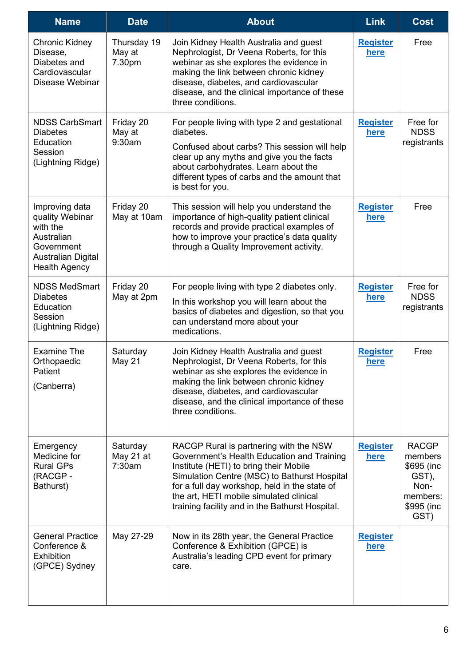| <b>Name</b>                                                                                                                    | <b>Date</b>                     | <b>About</b>                                                                                                                                                                                                                                                                                                                  | <b>Link</b>                    | <b>Cost</b>                                                                               |
|--------------------------------------------------------------------------------------------------------------------------------|---------------------------------|-------------------------------------------------------------------------------------------------------------------------------------------------------------------------------------------------------------------------------------------------------------------------------------------------------------------------------|--------------------------------|-------------------------------------------------------------------------------------------|
| Chronic Kidney<br>Disease,<br>Diabetes and<br>Cardiovascular<br>Disease Webinar                                                | Thursday 19<br>May at<br>7.30pm | Join Kidney Health Australia and guest<br>Nephrologist, Dr Veena Roberts, for this<br>webinar as she explores the evidence in<br>making the link between chronic kidney<br>disease, diabetes, and cardiovascular<br>disease, and the clinical importance of these<br>three conditions.                                        | <b>Register</b><br><b>here</b> | Free                                                                                      |
| <b>NDSS CarbSmart</b><br><b>Diabetes</b><br>Education<br>Session<br>(Lightning Ridge)                                          | Friday 20<br>May at<br>9:30am   | For people living with type 2 and gestational<br>diabetes.<br>Confused about carbs? This session will help<br>clear up any myths and give you the facts<br>about carbohydrates. Learn about the<br>different types of carbs and the amount that<br>is best for you.                                                           | <b>Register</b><br><b>here</b> | Free for<br><b>NDSS</b><br>registrants                                                    |
| Improving data<br>quality Webinar<br>with the<br>Australian<br>Government<br><b>Australian Digital</b><br><b>Health Agency</b> | Friday 20<br>May at 10am        | This session will help you understand the<br>importance of high-quality patient clinical<br>records and provide practical examples of<br>how to improve your practice's data quality<br>through a Quality Improvement activity.                                                                                               | <b>Register</b><br>here        | Free                                                                                      |
| <b>NDSS MedSmart</b><br><b>Diabetes</b><br>Education<br>Session<br>(Lightning Ridge)                                           | Friday 20<br>May at 2pm         | For people living with type 2 diabetes only.<br>In this workshop you will learn about the<br>basics of diabetes and digestion, so that you<br>can understand more about your<br>medications.                                                                                                                                  | <b>Register</b><br><u>here</u> | Free for<br><b>NDSS</b><br>registrants                                                    |
| <b>Examine The</b><br>Orthopaedic<br>Patient<br>(Canberra)                                                                     | Saturday<br>May 21              | Join Kidney Health Australia and guest<br>Nephrologist, Dr Veena Roberts, for this<br>webinar as she explores the evidence in<br>making the link between chronic kidney<br>disease, diabetes, and cardiovascular<br>disease, and the clinical importance of these<br>three conditions.                                        | <b>Register</b><br>here        | Free                                                                                      |
| Emergency<br>Medicine for<br><b>Rural GPs</b><br>(RACGP-<br>Bathurst)                                                          | Saturday<br>May 21 at<br>7:30am | RACGP Rural is partnering with the NSW<br>Government's Health Education and Training<br>Institute (HETI) to bring their Mobile<br>Simulation Centre (MSC) to Bathurst Hospital<br>for a full day workshop, held in the state of<br>the art, HETI mobile simulated clinical<br>training facility and in the Bathurst Hospital. | <b>Register</b><br>here        | <b>RACGP</b><br>members<br>\$695 (inc.<br>GST),<br>Non-<br>members:<br>\$995 (inc<br>GST) |
| <b>General Practice</b><br>Conference &<br><b>Exhibition</b><br>(GPCE) Sydney                                                  | May 27-29                       | Now in its 28th year, the General Practice<br>Conference & Exhibition (GPCE) is<br>Australia's leading CPD event for primary<br>care.                                                                                                                                                                                         | <b>Register</b><br><u>here</u> |                                                                                           |